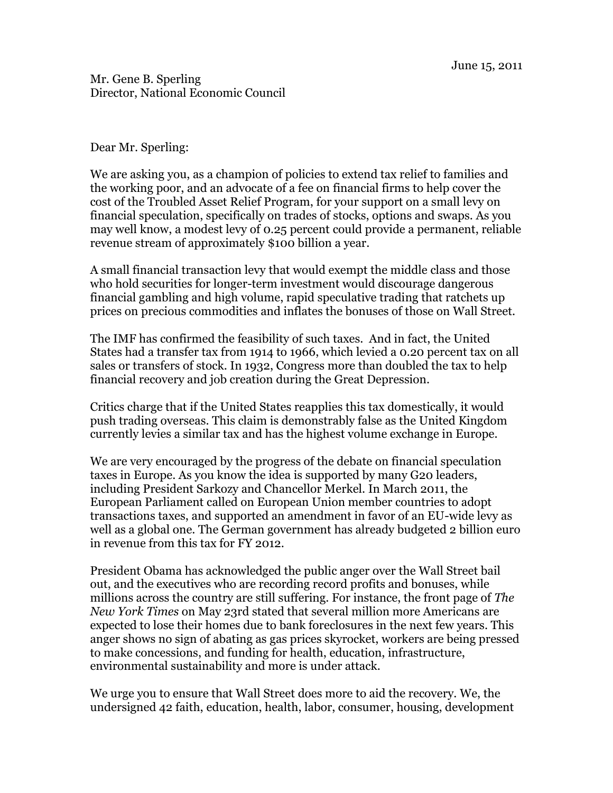Mr. Gene B. Sperling Director, National Economic Council

Dear Mr. Sperling:

We are asking you, as a champion of policies to extend tax relief to families and the working poor, and an advocate of a fee on financial firms to help cover the cost of the Troubled Asset Relief Program, for your support on a small levy on financial speculation, specifically on trades of stocks, options and swaps. As you may well know, a modest levy of 0.25 percent could provide a permanent, reliable revenue stream of approximately \$100 billion a year.

A small financial transaction levy that would exempt the middle class and those who hold securities for longer-term investment would discourage dangerous financial gambling and high volume, rapid speculative trading that ratchets up prices on precious commodities and inflates the bonuses of those on Wall Street.

The IMF has confirmed the feasibility of such taxes. And in fact, the United States had a transfer tax from 1914 to 1966, which levied a 0.20 percent tax on all sales or transfers of stock. In 1932, Congress more than doubled the tax to help financial recovery and job creation during the Great Depression.

Critics charge that if the United States reapplies this tax domestically, it would push trading overseas. This claim is demonstrably false as the United Kingdom currently levies a similar tax and has the highest volume exchange in Europe.

We are very encouraged by the progress of the debate on financial speculation taxes in Europe. As you know the idea is supported by many G20 leaders, including President Sarkozy and Chancellor Merkel. In March 2011, the European Parliament called on European Union member countries to adopt transactions taxes, and supported an amendment in favor of an EU-wide levy as well as a global one. The German government has already budgeted 2 billion euro in revenue from this tax for FY 2012.

President Obama has acknowledged the public anger over the Wall Street bail out, and the executives who are recording record profits and bonuses, while millions across the country are still suffering. For instance, the front page of *The New York Times* on May 23rd stated that several million more Americans are expected to lose their homes due to bank foreclosures in the next few years. This anger shows no sign of abating as gas prices skyrocket, workers are being pressed to make concessions, and funding for health, education, infrastructure, environmental sustainability and more is under attack.

We urge you to ensure that Wall Street does more to aid the recovery. We, the undersigned 42 faith, education, health, labor, consumer, housing, development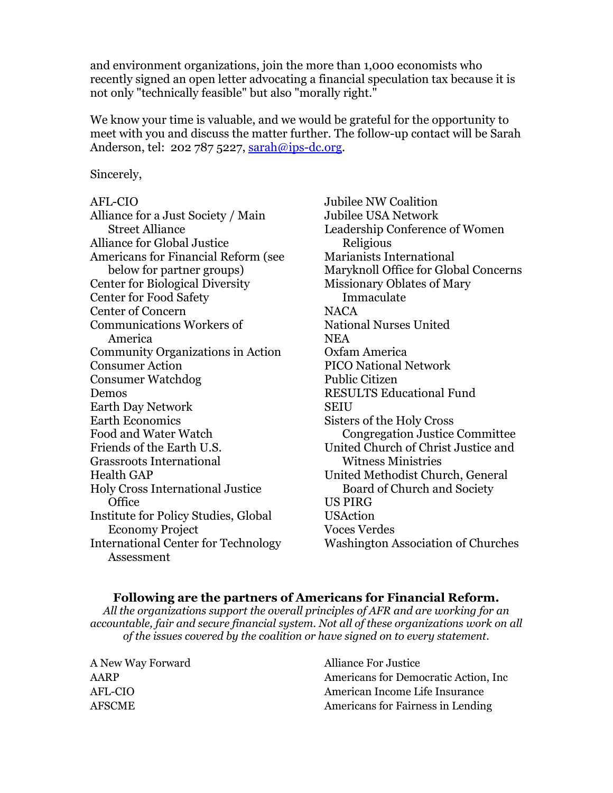and environment organizations, join the more than 1,000 economists who recently signed an open letter advocating a financial speculation tax because it is not only "technically feasible" but also "morally right."

We know your time is valuable, and we would be grateful for the opportunity to meet with you and discuss the matter further. The follow-up contact will be Sarah Anderson, tel: 202 787 5227,  $\text{sarah@ips-de.org.}$ 

Sincerely,

## AFL-CIO

Alliance for a Just Society / Main Street Alliance Alliance for Global Justice Americans for Financial Reform (see below for partner groups) Center for Biological Diversity Center for Food Safety Center of Concern Communications Workers of America Community Organizations in Action Consumer Action Consumer Watchdog Demos Earth Day Network Earth Economics Food and Water Watch Friends of the Earth U.S. Grassroots International Health GAP Holy Cross International Justice **Office** Institute for Policy Studies, Global Economy Project International Center for Technology Assessment

Jubilee NW Coalition Jubilee USA Network Leadership Conference of Women Religious Marianists International Maryknoll Office for Global Concerns Missionary Oblates of Mary Immaculate NACA National Nurses United **NEA** Oxfam America PICO National Network Public Citizen RESULTS Educational Fund **SEIU** Sisters of the Holy Cross Congregation Justice Committee United Church of Christ Justice and Witness Ministries United Methodist Church, General Board of Church and Society US PIRG USAction Voces Verdes Washington Association of Churches

## **Following are the partners of Americans for Financial Reform.**

*All the organizations support the overall principles of AFR and are working for an accountable, fair and secure financial system. Not all of these organizations work on all of the issues covered by the coalition or have signed on to every statement.*

| A New Way Forward | <b>Alliance For Justice</b>           |
|-------------------|---------------------------------------|
| AARP              | Americans for Democratic Action, Inc. |
| AFL-CIO           | American Income Life Insurance        |
| AFSCME            | Americans for Fairness in Lending     |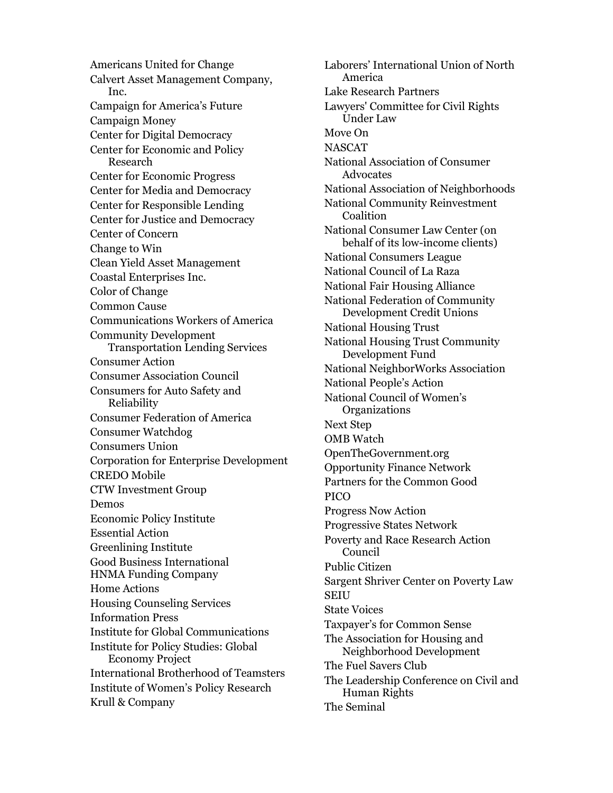Americans United for Change Calvert Asset Management Company, Inc. Campaign for America's Future Campaign Money Center for Digital Democracy Center for Economic and Policy Research Center for Economic Progress Center for Media and Democracy Center for Responsible Lending Center for Justice and Democracy Center of Concern Change to Win Clean Yield Asset Management Coastal Enterprises Inc. Color of Change Common Cause Communications Workers of America Community Development Transportation Lending Services Consumer Action Consumer Association Council Consumers for Auto Safety and Reliability Consumer Federation of America Consumer Watchdog Consumers Union Corporation for Enterprise Development CREDO Mobile CTW Investment Group Demos Economic Policy Institute Essential Action Greenlining Institute Good Business International HNMA Funding Company Home Actions Housing Counseling Services Information Press Institute for Global Communications Institute for Policy Studies: Global Economy Project International Brotherhood of Teamsters Institute of Women's Policy Research Krull & Company

Laborers' International Union of North America Lake Research Partners Lawyers' Committee for Civil Rights Under Law Move On NASCAT National Association of Consumer **Advocates** National Association of Neighborhoods National Community Reinvestment **Coalition** National Consumer Law Center (on behalf of its low-income clients) National Consumers League National Council of La Raza National Fair Housing Alliance National Federation of Community Development Credit Unions National Housing Trust National Housing Trust Community Development Fund National NeighborWorks Association National People's Action National Council of Women's **Organizations** Next Step OMB Watch OpenTheGovernment.org Opportunity Finance Network Partners for the Common Good PICO Progress Now Action Progressive States Network Poverty and Race Research Action Council Public Citizen Sargent Shriver Center on Poverty Law SEIU State Voices Taxpayer's for Common Sense The Association for Housing and Neighborhood Development The Fuel Savers Club The Leadership Conference on Civil and Human Rights The Seminal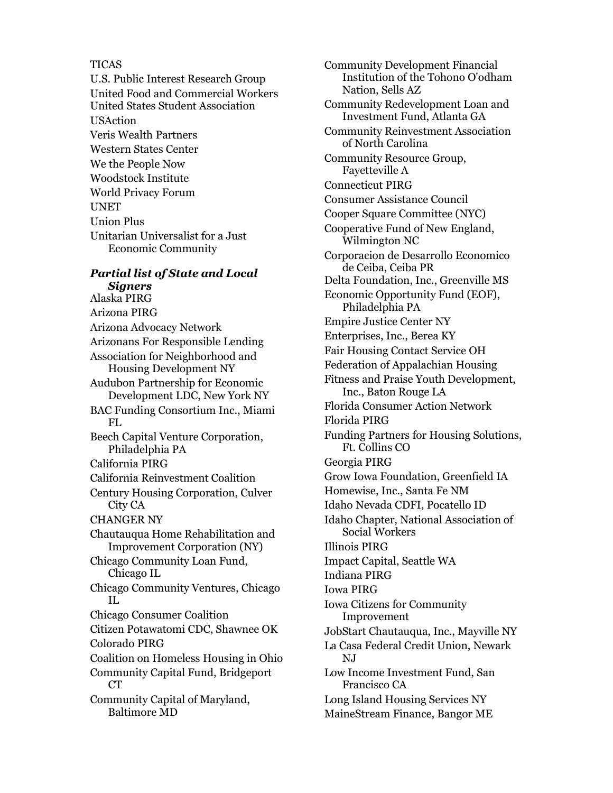## TICAS

U.S. Public Interest Research Group United Food and Commercial Workers United States Student Association USAction Veris Wealth Partners Western States Center We the People Now Woodstock Institute World Privacy Forum UNET Union Plus Unitarian Universalist for a Just Economic Community

## *Partial list of State and Local Signers*

Alaska PIRG Arizona PIRG Arizona Advocacy Network Arizonans For Responsible Lending Association for Neighborhood and Housing Development NY Audubon Partnership for Economic Development LDC, New York NY BAC Funding Consortium Inc., Miami FL Beech Capital Venture Corporation, Philadelphia PA California PIRG California Reinvestment Coalition Century Housing Corporation, Culver City CA CHANGER NY Chautauqua Home Rehabilitation and Improvement Corporation (NY) Chicago Community Loan Fund, Chicago IL Chicago Community Ventures, Chicago IL Chicago Consumer Coalition Citizen Potawatomi CDC, Shawnee OK Colorado PIRG Coalition on Homeless Housing in Ohio Community Capital Fund, Bridgeport CT<sup>-</sup> Community Capital of Maryland, Baltimore MD

Community Development Financial Institution of the Tohono O'odham Nation, Sells AZ Community Redevelopment Loan and Investment Fund, Atlanta GA Community Reinvestment Association of North Carolina Community Resource Group, Fayetteville A Connecticut PIRG Consumer Assistance Council Cooper Square Committee (NYC) Cooperative Fund of New England, Wilmington NC Corporacion de Desarrollo Economico de Ceiba, Ceiba PR Delta Foundation, Inc., Greenville MS Economic Opportunity Fund (EOF), Philadelphia PA Empire Justice Center NY Enterprises, Inc., Berea KY Fair Housing Contact Service OH Federation of Appalachian Housing Fitness and Praise Youth Development, Inc., Baton Rouge LA Florida Consumer Action Network Florida PIRG Funding Partners for Housing Solutions, Ft. Collins CO Georgia PIRG Grow Iowa Foundation, Greenfield IA Homewise, Inc., Santa Fe NM Idaho Nevada CDFI, Pocatello ID Idaho Chapter, National Association of Social Workers Illinois PIRG Impact Capital, Seattle WA Indiana PIRG Iowa PIRG Iowa Citizens for Community Improvement JobStart Chautauqua, Inc., Mayville NY La Casa Federal Credit Union, Newark NJ Low Income Investment Fund, San Francisco CA Long Island Housing Services NY MaineStream Finance, Bangor ME